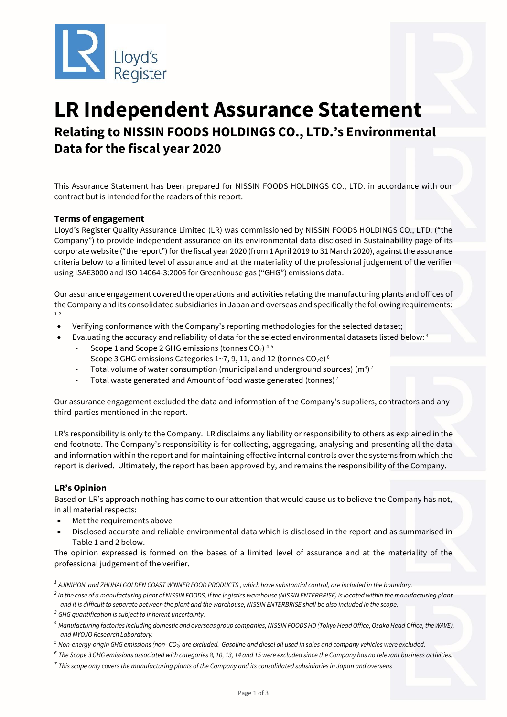

# **LR Independent Assurance Statement Relating to NISSIN FOODS HOLDINGS CO., LTD.'s Environmental Data for the fiscal year 2020**

This Assurance Statement has been prepared for NISSIN FOODS HOLDINGS CO., LTD. in accordance with our contract but is intended for the readers of this report.

# **Terms of engagement**

Lloyd's Register Quality Assurance Limited (LR) was commissioned by NISSIN FOODS HOLDINGS CO., LTD. ("the Company") to provide independent assurance on its environmental data disclosed in Sustainability page of its corporate website ("the report") for the fiscal year 2020 (from 1 April 2019 to 31 March 2020), against the assurance criteria below to a limited level of assurance and at the materiality of the professional judgement of the verifier using ISAE3000 and ISO 14064-3:2006 for Greenhouse gas ("GHG") emissions data.

Our assurance engagement covered the operations and activities relating the manufacturing plants and offices of the Company and its consolidated subsidiaries in Japan and overseas and specifically the following requirements: 1 2

- Verifying conformance with the Company's reporting methodologies for the selected dataset;
- Evaluating the accuracy and reliability of data for the selected environmental datasets listed below:<sup>3</sup>
	- Scope 1 and Scope 2 GHG emissions (tonnes CO<sub>2</sub>)<sup>45</sup>
	- Scope 3 GHG emissions Categories 1~7, 9, 11, and 12 (tonnes  $CO<sub>2</sub>e)$ <sup>6</sup>
	- Total volume of water consumption (municipal and underground sources) (m<sup>3</sup>)<sup>7</sup>
	- Total waste generated and Amount of food waste generated (tonnes)<sup>7</sup>

Our assurance engagement excluded the data and information of the Company's suppliers, contractors and any third-parties mentioned in the report.

LR's responsibility is only to the Company. LR disclaims any liability or responsibility to others as explained in the end footnote. The Company's responsibility is for collecting, aggregating, analysing and presenting all the data and information within the report and for maintaining effective internal controls over the systems from which the report is derived. Ultimately, the report has been approved by, and remains the responsibility of the Company.

## **LR's Opinion**

Based on LR's approach nothing has come to our attention that would cause us to believe the Company has not, in all material respects:

- Met the requirements above
- Disclosed accurate and reliable environmental data which is disclosed in the report and as summarised in Table 1 and 2 below.

The opinion expressed is formed on the bases of a limited level of assurance and at the materiality of the professional judgement of the verifier.

*<sup>1</sup> AJINIHON and ZHUHAI GOLDEN COAST WINNER FOOD PRODUCTS , which have substantial control, are included in the boundary.*

*<sup>2</sup> In the case of a manufacturing plant of NISSIN FOODS, if the logistics warehouse (NISSIN ENTERBRISE) is located within the manufacturing plant and it is difficult to separate between the plant and the warehouse, NISSIN ENTERBRISE shall be also included in the scope.*

*<sup>3</sup> GHG quantification is subject to inherent uncertainty.*

<sup>&</sup>lt;sup>4</sup> Manufacturing factories including domestic and overseas group companies, NISSIN FOODS HD (Tokyo Head Office, Osaka Head Office, the WAVE), *and MYOJO Research Laboratory.*

*<sup>5</sup> Non-energy-origin GHG emissions (non- CO2) are excluded. Gasoline and diesel oil used in sales and company vehicles were excluded.*

*<sup>6</sup> The Scope 3 GHG emissions associated with categories 8, 10, 13, 14 and 15 were excluded since the Company has no relevant business activities.*

*<sup>7</sup> This scope only covers the manufacturing plants of the Company and its consolidated subsidiaries in Japan and overseas*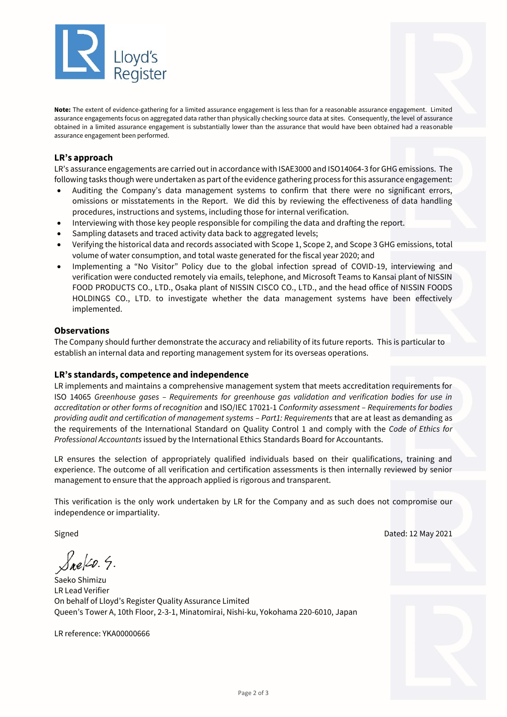

**Note:** The extent of evidence-gathering for a limited assurance engagement is less than for a reasonable assurance engagement. Limited assurance engagements focus on aggregated data rather than physically checking source data at sites. Consequently, the level of assurance obtained in a limited assurance engagement is substantially lower than the assurance that would have been obtained had a reasonable assurance engagement been performed.

# **LR's approach**

LR's assurance engagements are carried out in accordance with ISAE3000 and ISO14064-3 for GHG emissions. The following tasks though were undertaken as part of the evidence gathering process for this assurance engagement:

- Auditing the Company's data management systems to confirm that there were no significant errors, omissions or misstatements in the Report. We did this by reviewing the effectiveness of data handling procedures, instructions and systems, including those for internal verification.
- Interviewing with those key people responsible for compiling the data and drafting the report.
- Sampling datasets and traced activity data back to aggregated levels;
- Verifying the historical data and records associated with Scope 1, Scope 2, and Scope 3 GHG emissions, total volume of water consumption, and total waste generated for the fiscal year 2020; and
- Implementing a "No Visitor" Policy due to the global infection spread of COVID-19, interviewing and verification were conducted remotely via emails, telephone, and Microsoft Teams to Kansai plant of NISSIN FOOD PRODUCTS CO., LTD., Osaka plant of NISSIN CISCO CO., LTD., and the head office of NISSIN FOODS HOLDINGS CO., LTD. to investigate whether the data management systems have been effectively implemented.

#### **Observations**

The Company should further demonstrate the accuracy and reliability of its future reports. This is particular to establish an internal data and reporting management system for its overseas operations.

## **LR's standards, competence and independence**

LR implements and maintains a comprehensive management system that meets accreditation requirements for ISO 14065 *Greenhouse gases – Requirements for greenhouse gas validation and verification bodies for use in accreditation or other forms of recognition* and ISO/IEC 17021-1 *Conformity assessment – Requirements for bodies providing audit and certification of management systems – Part1: Requirements* that are at least as demanding as the requirements of the International Standard on Quality Control 1 and comply with the *Code of Ethics for Professional Accountants* issued by the International Ethics Standards Board for Accountants.

LR ensures the selection of appropriately qualified individuals based on their qualifications, training and experience. The outcome of all verification and certification assessments is then internally reviewed by senior management to ensure that the approach applied is rigorous and transparent.

This verification is the only work undertaken by LR for the Company and as such does not compromise our independence or impartiality.

Signed Dated: 12 May 2021

Sne[20. 5.

Saeko Shimizu LR Lead Verifier On behalf of Lloyd's Register Quality Assurance Limited Queen's Tower A, 10th Floor, 2-3-1, Minatomirai, Nishi-ku, Yokohama 220-6010, Japan

LR reference: YKA00000666